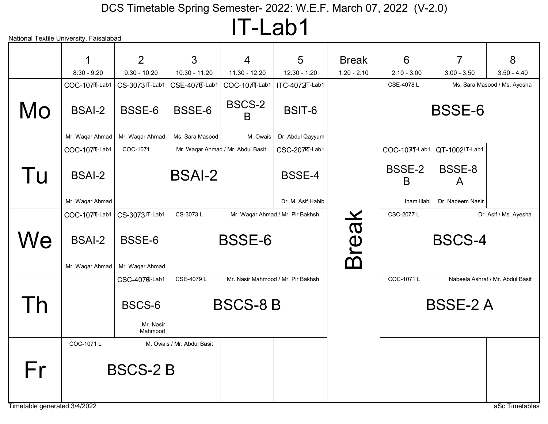IT-Lab1

|                                     | 1                                | 2                              | 3                          | $\overline{4}$                     | 5                                | <b>Break</b>  | 6                 | 7                | 8                                |  |
|-------------------------------------|----------------------------------|--------------------------------|----------------------------|------------------------------------|----------------------------------|---------------|-------------------|------------------|----------------------------------|--|
|                                     | $8:30 - 9:20$                    | $9:30 - 10:20$                 | 10:30 - 11:20              | 11:30 - 12:20                      | $12:30 - 1:20$                   | $1:20 - 2:10$ | $2:10 - 3:00$     | $3:00 - 3:50$    | $3:50 - 4:40$                    |  |
|                                     | COC-1071-Lab1                    | CS-3073IT-Lab1                 | CSE-4078-Lab1              | COC-1071-Lab1                      | ITC-4072T-Lab1                   |               | CSE-4078L         |                  | Ms. Sara Masood / Ms. Ayesha     |  |
| Mo                                  | <b>BSAI-2</b>                    | BSSE-6                         | BSSE-6                     | BSCS-2<br>B                        | <b>BSIT-6</b>                    |               |                   | <b>BSSE-6</b>    |                                  |  |
|                                     | Mr. Waqar Ahmad                  | Mr. Waqar Ahmad                | Ms. Sara Masood            | M. Owais                           | Dr. Abdul Qayyum                 |               |                   |                  |                                  |  |
|                                     | COC-1071-Lab1                    | COC-1071                       |                            | Mr. Waqar Ahmad / Mr. Abdul Basit  | CSC-2074-Lab1                    |               | COC-1071-Lab1     | QT-1002IT-Lab1   |                                  |  |
| l u                                 | <b>BSAI-2</b>                    |                                | <b>BSAI-2</b>              |                                    | <b>BSSE-4</b>                    |               | BSSE-2<br>B       | BSSE-8<br>A      |                                  |  |
|                                     | Mr. Waqar Ahmad                  |                                |                            |                                    | Dr. M. Asif Habib                |               | Inam Illahi       | Dr. Nadeem Nasir |                                  |  |
|                                     | COC-1071-Lab1                    | CS-3073IT-Lab1                 | CS-3073L                   |                                    | Mr. Waqar Ahmad / Mr. Pir Bakhsh |               | <b>CSC-2077 L</b> |                  | Dr. Asif / Ms. Ayesha            |  |
| We                                  | <b>BSAI-2</b><br>Mr. Waqar Ahmad | BSSE-6<br>Mr. Waqar Ahmad      |                            | <b>BSSE-6</b>                      |                                  | <b>Break</b>  |                   | <b>BSCS-4</b>    |                                  |  |
|                                     |                                  | CSC-4076-Lab1                  | CSE-4079L                  | Mr. Nasir Mahmood / Mr. Pir Bakhsh |                                  |               | COC-1071L         |                  | Nabeela Ashraf / Mr. Abdul Basit |  |
| Γh                                  |                                  | BSCS-6<br>Mr. Nasir<br>Mahmood |                            | <b>BSCS-8 B</b>                    |                                  |               |                   | <b>BSSE-2 A</b>  |                                  |  |
|                                     | COC-1071L                        |                                | M. Owais / Mr. Abdul Basit |                                    |                                  |               |                   |                  |                                  |  |
| Fr<br>Timetable generated: 3/4/2022 |                                  | <b>BSCS-2 B</b>                |                            |                                    |                                  |               |                   |                  | aSc Timetables                   |  |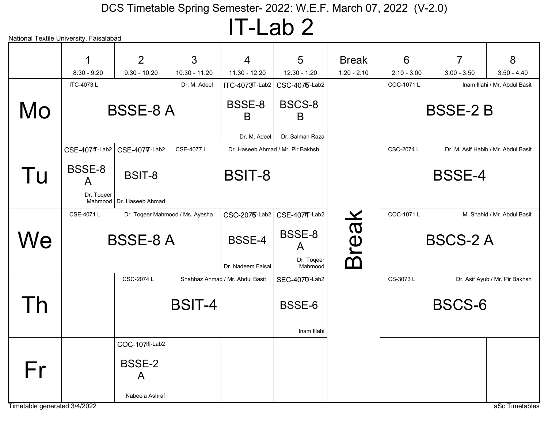IT-Lab 2

| National Textile University, Faisalabad |                                  |                                      |                                 |                                    |                                      |                               |                    |                    |                                     |
|-----------------------------------------|----------------------------------|--------------------------------------|---------------------------------|------------------------------------|--------------------------------------|-------------------------------|--------------------|--------------------|-------------------------------------|
|                                         | $8:30 - 9:20$                    | 2<br>$9:30 - 10:20$                  | 3<br>10:30 - 11:20              | 4<br>11:30 - 12:20                 | 5<br>12:30 - 1:20                    | <b>Break</b><br>$1:20 - 2:10$ | 6<br>$2:10 - 3:00$ | 7<br>$3:00 - 3:50$ | 8<br>$3:50 - 4:40$                  |
|                                         | ITC-4073L                        |                                      | Dr. M. Adeel                    | ITC-4073T-Lab2                     | CSC-4075-Lab2                        |                               | COC-1071L          |                    | Inam Illahi / Mr. Abdul Basit       |
| Mo                                      | <b>BSSE-8 A</b>                  |                                      |                                 | <b>BSSE-8</b><br>B<br>Dr. M. Adeel | BSCS-8<br>B<br>Dr. Salman Raza       |                               | <b>BSSE-2 B</b>    |                    |                                     |
|                                         |                                  | CSE-40711-Lab2   CSE-40717-Lab2      | CSE-4077L                       |                                    | Dr. Haseeb Ahmad / Mr. Pir Bakhsh    |                               | CSC-2074 L         |                    | Dr. M. Asif Habib / Mr. Abdul Basit |
| Tu                                      | <b>BSSE-8</b><br>A<br>Dr. Togeer | BSIT-8<br>Mahmood   Dr. Haseeb Ahmad |                                 | <b>BSIT-8</b>                      |                                      |                               |                    | <b>BSSE-4</b>      |                                     |
|                                         | CSE-4071L                        |                                      | Dr. Toqeer Mahmood / Ms. Ayesha |                                    | CSC-2075-Lab2   CSE-4071-Lab2        |                               | COC-1071L          |                    | M. Shahid / Mr. Abdul Basit         |
| Ne                                      | <b>BSSE-8 A</b>                  |                                      |                                 | <b>BSSE-4</b><br>Dr. Nadeem Faisal | BSSE-8<br>A<br>Dr. Togeer<br>Mahmood | <b>Break</b>                  | <b>BSCS-2 A</b>    |                    |                                     |
|                                         |                                  | CSC-2074 L                           |                                 | Shahbaz Ahmad / Mr. Abdul Basit    | SEC-4070-Lab2                        |                               | CS-3073L           |                    | Dr. Asif Ayub / Mr. Pir Bakhsh      |
| l h                                     |                                  |                                      | <b>BSIT-4</b>                   |                                    | BSSE-6<br>Inam Illahi                |                               |                    | <b>BSCS-6</b>      |                                     |
|                                         |                                  | COC-1071-Lab2                        |                                 |                                    |                                      |                               |                    |                    |                                     |
| Fr                                      |                                  | <b>BSSE-2</b><br>A                   |                                 |                                    |                                      |                               |                    |                    |                                     |
| Timetable generated: 3/4/2022           |                                  | Nabeela Ashraf                       |                                 |                                    |                                      |                               |                    |                    | aSc Timetables                      |
|                                         |                                  |                                      |                                 |                                    |                                      |                               |                    |                    |                                     |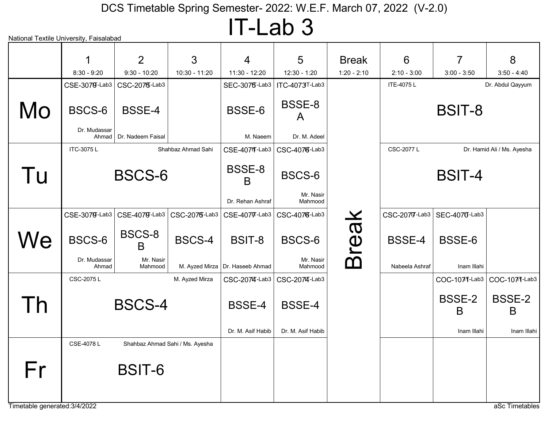IT-Lab 3

| National Textile University, Faisalabad |                                 |                                    |                                 |                                   |                                 |                       |                |                    |                            |  |  |
|-----------------------------------------|---------------------------------|------------------------------------|---------------------------------|-----------------------------------|---------------------------------|-----------------------|----------------|--------------------|----------------------------|--|--|
|                                         |                                 | $\overline{2}$                     | 3                               | 4                                 | 5                               | <b>Break</b>          | 6              | 7                  | 8                          |  |  |
|                                         | $8:30 - 9:20$                   | $9:30 - 10:20$                     | 10:30 - 11:20                   | 11:30 - 12:20                     | 12:30 - 1:20                    | $1:20 - 2:10$         | $2:10 - 3:00$  | $3:00 - 3:50$      | $3:50 - 4:40$              |  |  |
|                                         | CSE-3079-Lab3                   | CSC-2075-Lab3                      |                                 | <b>SEC-3075-Lab3</b>              | ITC-4073T-Lab3                  |                       | ITE-4075L      |                    | Dr. Abdul Qayyum           |  |  |
| Mo                                      | BSCS-6<br>Dr. Mudassar<br>Ahmad | <b>BSSE-4</b><br>Dr. Nadeem Faisal |                                 | BSSE-6<br>M. Naeem                | BSSE-8<br>A<br>Dr. M. Adeel     |                       |                | <b>BSIT-8</b>      |                            |  |  |
|                                         |                                 |                                    |                                 |                                   |                                 |                       |                |                    |                            |  |  |
|                                         | ITC-3075L                       |                                    | Shahbaz Ahmad Sahi              |                                   | CSE-4071-Lab3   CSC-4076-Lab3   |                       | CSC-2077 L     |                    | Dr. Hamid Ali / Ms. Ayesha |  |  |
| Tu                                      |                                 | <b>BSCS-6</b>                      |                                 | BSSE-8<br>B                       | BSCS-6                          |                       |                | <b>BSIT-4</b>      |                            |  |  |
|                                         |                                 |                                    |                                 | Dr. Rehan Ashraf                  | Mr. Nasir<br>Mahmood            |                       |                |                    |                            |  |  |
|                                         | CSE-3079-Lab3                   | CSE-4079-Lab3                      | CSC-2075-Lab3                   |                                   | CSE-40717-Lab3   CSC-40716-Lab3 |                       | CSC-2077-Lab3  | SEC-4070-Lab3      |                            |  |  |
| We                                      | BSCS-6                          | BSCS-8<br>B                        | <b>BSCS-4</b>                   | BSIT-8                            | BSCS-6                          | reak                  | <b>BSSE-4</b>  | BSSE-6             |                            |  |  |
|                                         | Dr. Mudassar<br>Ahmad           | Mr. Nasir<br>Mahmood               |                                 | M. Ayzed Mirza   Dr. Haseeb Ahmad | Mr. Nasir<br>Mahmood            | $\boldsymbol{\Omega}$ | Nabeela Ashraf | Inam Illahi        |                            |  |  |
|                                         | CSC-2075L                       |                                    | M. Ayzed Mirza                  |                                   | CSC-2074-Lab3   CSC-2074-Lab3   |                       |                | COC-1071-Lab3      | COC-1071-Lab3              |  |  |
| $\overline{\phantom{a}}$                |                                 | <b>BSCS-4</b>                      |                                 | <b>BSSE-4</b>                     | <b>BSSE-4</b>                   |                       |                | <b>BSSE-2</b><br>B | <b>BSSE-2</b><br>B         |  |  |
|                                         |                                 |                                    |                                 | Dr. M. Asif Habib                 | Dr. M. Asif Habib               |                       |                | Inam Illahi        | Inam Illahi                |  |  |
|                                         | CSE-4078L                       |                                    | Shahbaz Ahmad Sahi / Ms. Ayesha |                                   |                                 |                       |                |                    |                            |  |  |
| Fr                                      |                                 | <b>BSIT-6</b>                      |                                 |                                   |                                 |                       |                |                    |                            |  |  |
| Timetable generated: 3/4/2022           |                                 |                                    |                                 |                                   |                                 |                       |                |                    | aSc Timetables             |  |  |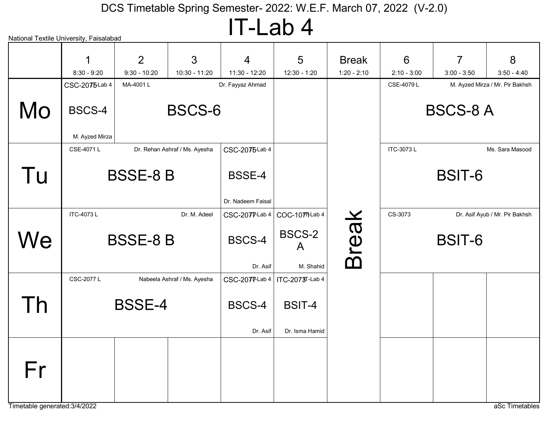## IT-Lab 4

|    | National Textile University, Faisalabad |                                  |                               |                                    |                                 |                               |                    |                    |                                 |
|----|-----------------------------------------|----------------------------------|-------------------------------|------------------------------------|---------------------------------|-------------------------------|--------------------|--------------------|---------------------------------|
|    | $8:30 - 9:20$                           | $\overline{2}$<br>$9:30 - 10:20$ | 3<br>10:30 - 11:20            | $\overline{4}$<br>11:30 - 12:20    | 5<br>12:30 - 1:20               | <b>Break</b><br>$1:20 - 2:10$ | 6<br>$2:10 - 3:00$ | 7<br>$3:00 - 3:50$ | 8<br>$3:50 - 4:40$              |
|    | CSC-2075Lab 4                           | MA-4001L                         |                               | Dr. Fayyaz Ahmad                   |                                 |                               | CSE-4079L          |                    | M. Ayzed Mirza / Mr. Pir Bakhsh |
| Mo | BSCS-4<br>M. Ayzed Mirza                |                                  | <b>BSCS-6</b>                 |                                    |                                 |                               |                    | <b>BSCS-8 A</b>    |                                 |
|    | CSE-4071L                               |                                  | Dr. Rehan Ashraf / Ms. Ayesha | CSC-2075Lab 4                      |                                 |                               | ITC-3073L          |                    | Ms. Sara Masood                 |
| Tu |                                         | <b>BSSE-8 B</b>                  |                               | <b>BSSE-4</b><br>Dr. Nadeem Faisal |                                 |                               |                    | <b>BSIT-6</b>      |                                 |
|    | <b>ITC-4073L</b>                        |                                  | Dr. M. Adeel                  | $CSC-207T-Lab4$                    | COC-10771Lab 4                  |                               | CS-3073            |                    | Dr. Asif Ayub / Mr. Pir Bakhsh  |
| We |                                         | <b>BSSE-8 B</b>                  |                               | BSCS-4<br>Dr. Asif                 | <b>BSCS-2</b><br>A<br>M. Shahid | <b>Break</b>                  |                    | BSIT-6             |                                 |
|    | <b>CSC-2077 L</b>                       |                                  | Nabeela Ashraf / Ms. Ayesha   | CSC-2077-Lab 4   ITC-2073T-Lab 4   |                                 |                               |                    |                    |                                 |
| Γh |                                         | <b>BSSE-4</b>                    |                               | BSCS-4<br>Dr. Asif                 | <b>BSIT-4</b><br>Dr. Isma Hamid |                               |                    |                    |                                 |
| Fr |                                         |                                  |                               |                                    |                                 |                               |                    |                    |                                 |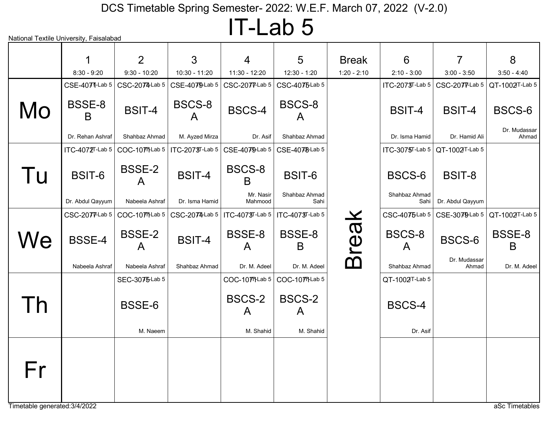## IT-Lab 5

|                         | 1                         | 2                                        | 3               | $\overline{4}$                    | 5                      | <b>Break</b>  | 6                      | $\overline{7}$        | 8                     |
|-------------------------|---------------------------|------------------------------------------|-----------------|-----------------------------------|------------------------|---------------|------------------------|-----------------------|-----------------------|
|                         | $8:30 - 9:20$             | $9:30 - 10:20$                           | 10:30 - 11:20   | 11:30 - 12:20                     | 12:30 - 1:20           | $1:20 - 2:10$ | $2:10 - 3:00$          | $3:00 - 3:50$         | $3:50 - 4:40$         |
|                         | CSE-4071-Lab 5            | CSC-2074-Lab 5                           | CSE-4079Lab 5   | CSC-2077-Lab 5                    | CSC-4075Lab 5          |               | $ITC-2073T-Lab 5$      | CSC-2077-Lab 5        | QT-1002T-Lab 5        |
| Mo                      | <b>BSSE-8</b><br>B        | <b>BSIT-4</b>                            | BSCS-8<br>A     | <b>BSCS-4</b>                     | BSCS-8<br>$\mathsf{A}$ |               | <b>BSIT-4</b>          | <b>BSIT-4</b>         | BSCS-6                |
|                         | Dr. Rehan Ashraf          | Shahbaz Ahmad                            | M. Ayzed Mirza  | Dr. Asif                          | Shahbaz Ahmad          |               | Dr. Isma Hamid         | Dr. Hamid Ali         | Dr. Mudassar<br>Ahmad |
|                         | $\text{ITC-4072}$ T-Lab 5 | COC-1077-Lab 5                           | ITC-2073T-Lab 5 | CSE-4079-Lab 5                    | CSE-4078-Lab 5         |               | $TC-3075T-Lab 5$       | $QT-1002T$ -Lab 5     |                       |
| Tu                      | <b>BSIT-6</b>             | <b>BSSE-2</b><br>$\mathsf{A}$            | <b>BSIT-4</b>   | BSCS-8<br>B                       | BSIT-6                 |               | BSCS-6                 | <b>BSIT-8</b>         |                       |
|                         | Dr. Abdul Qayyum          | Nabeela Ashraf                           | Dr. Isma Hamid  | Mr. Nasir<br>Mahmood              | Shahbaz Ahmad<br>Sahi  |               | Shahbaz Ahmad<br>Sahi  | Dr. Abdul Qayyum      |                       |
|                         |                           | $CSC-207T-Lab 5$ $\vert$ $COC-10TTLab 5$ | CSC-2074-Lab 5  | ITC-4073T-Lab 5   ITC-4073T-Lab 5 |                        |               | $CSC-4075$ Lab 5       | $CSE-3079$ Lab 5      | QT-1002T-Lab 5        |
| We                      | <b>BSSE-4</b>             | <b>BSSE-2</b><br>$\mathsf{A}$            | <b>BSIT-4</b>   | BSSE-8<br>A                       | BSSE-8<br>B            | <b>Break</b>  | BSCS-8<br>$\mathsf{A}$ | BSCS-6                | BSSE-8<br>B           |
|                         | Nabeela Ashraf            | Nabeela Ashraf                           | Shahbaz Ahmad   | Dr. M. Adeel                      | Dr. M. Adeel           |               | Shahbaz Ahmad          | Dr. Mudassar<br>Ahmad | Dr. M. Adeel          |
|                         |                           | SEC-3075Lab 5                            |                 | COC-1077-Lab 5                    | COC-10771-Lab 5        |               | QT-1002T-Lab 5         |                       |                       |
| $\overline{\mathsf{n}}$ |                           | BSSE-6                                   |                 | <b>BSCS-2</b><br>A                | BSCS-2<br>A            |               | BSCS-4                 |                       |                       |
|                         |                           | M. Naeem                                 |                 | M. Shahid                         | M. Shahid              |               | Dr. Asif               |                       |                       |
| Fr                      |                           |                                          |                 |                                   |                        |               |                        |                       |                       |

Timetable generated:3/4/2022 and a set of the state of the state of the state of the state of the state of the state of the state of the state of the state of the state of the state of the state of the state of the state o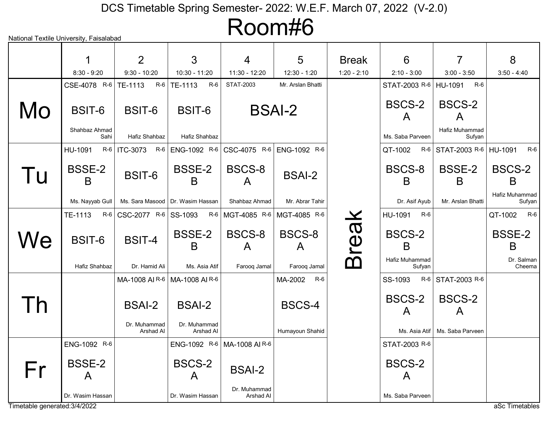Room#6

|              | 1                     |                           |                                    |                                                                 |                                     |               |                          |                               |                          |
|--------------|-----------------------|---------------------------|------------------------------------|-----------------------------------------------------------------|-------------------------------------|---------------|--------------------------|-------------------------------|--------------------------|
|              |                       | 2                         | 3                                  | $\overline{4}$                                                  | 5                                   | <b>Break</b>  | 6                        | $\overline{7}$                | 8                        |
|              | $8:30 - 9:20$         | $9:30 - 10:20$<br>$R-6$   | 10:30 - 11:20<br>R-6               | 11:30 - 12:20<br>STAT-2003                                      | $12:30 - 1:20$<br>Mr. Arslan Bhatti | $1:20 - 2:10$ | $2:10 - 3:00$            | $3:00 - 3:50$<br>$R-6$        | $3:50 - 4:40$            |
|              | CSE-4078 R-6          | TE-1113                   | TE-1113                            |                                                                 |                                     |               | STAT-2003 R-6            | HU-1091                       |                          |
| Mo           | BSIT-6                | BSIT-6                    | BSIT-6                             | <b>BSAI-2</b>                                                   |                                     |               | BSCS-2<br>A              | <b>BSCS-2</b><br>$\mathsf{A}$ |                          |
|              | Shahbaz Ahmad<br>Sahi | Hafiz Shahbaz             | Hafiz Shahbaz                      |                                                                 |                                     |               | Ms. Saba Parveen         | Hafiz Muhammad<br>Sufyan      |                          |
|              | HU-1091               |                           |                                    | R-6   ITC-3073 R-6   ENG-1092 R-6   CSC-4075 R-6   ENG-1092 R-6 |                                     |               | QT-1002                  | R-6 STAT-2003 R-6 HU-1091     | $R-6$                    |
| l u          | <b>BSSE-2</b><br>B    | BSIT-6                    | <b>BSSE-2</b><br>B                 | <b>BSCS-8</b><br>$\mathsf{A}$                                   | <b>BSAI-2</b>                       |               | BSCS-8<br>B              | <b>BSSE-2</b><br>B            | BSCS-2<br>B              |
|              | Ms. Nayyab Gull       |                           | Ms. Sara Masood   Dr. Wasim Hassan | Shahbaz Ahmad                                                   | Mr. Abrar Tahir                     |               | Dr. Asif Ayub            | Mr. Arslan Bhatti             | Hafiz Muhammad<br>Sufyan |
|              | TE-1113               | R-6   CSC-2077 R-6        | SS-1093<br>R-6                     | MGT-4085 R-6                                                    | MGT-4085 R-6                        |               | HU-1091<br>$R-6$         |                               | QT-1002<br>$R-6$         |
| We           | <b>BSIT-6</b>         | <b>BSIT-4</b>             | <b>BSSE-2</b><br>B                 | BSCS-8<br>$\mathsf{A}$                                          | BSCS-8<br>A                         | <b>Break</b>  | BSCS-2<br>B              |                               | <b>BSSE-2</b><br>B       |
|              | Hafiz Shahbaz         | Dr. Hamid Ali             | Ms. Asia Atif                      | Farooq Jamal                                                    | Farooq Jamal                        |               | Hafiz Muhammad<br>Sufyan |                               | Dr. Salman<br>Cheema     |
|              |                       | MA-1008 AIR-6             | MA-1008 AIR-6                      |                                                                 | MA-2002<br>R-6                      |               | SS-1093                  | R-6 STAT-2003 R-6             |                          |
| $\mathsf{h}$ |                       | <b>BSAI-2</b>             | <b>BSAI-2</b>                      |                                                                 | BSCS-4                              |               | <b>BSCS-2</b><br>A       | <b>BSCS-2</b><br>A            |                          |
|              |                       | Dr. Muhammad<br>Arshad Al | Dr. Muhammad<br>Arshad Al          |                                                                 | Humayoun Shahid                     |               | Ms. Asia Atif            | Ms. Saba Parveen              |                          |
|              | ENG-1092 R-6          |                           |                                    | ENG-1092 R-6 MA-1008 AIR-6                                      |                                     |               | STAT-2003 R-6            |                               |                          |
| Fr           | <b>BSSE-2</b><br>A    |                           | BSCS-2<br>A                        | <b>BSAI-2</b>                                                   |                                     |               | BSCS-2<br>A              |                               |                          |
|              | Dr. Wasim Hassan      |                           | Dr. Wasim Hassan                   | Dr. Muhammad<br>Arshad Al                                       |                                     |               | Ms. Saba Parveen         |                               |                          |

Timetable generated:3/4/2022 and a set of the state of the state of the state of the state of the state of the state of the state of the state of the state of the state of the state of the state of the state of the state o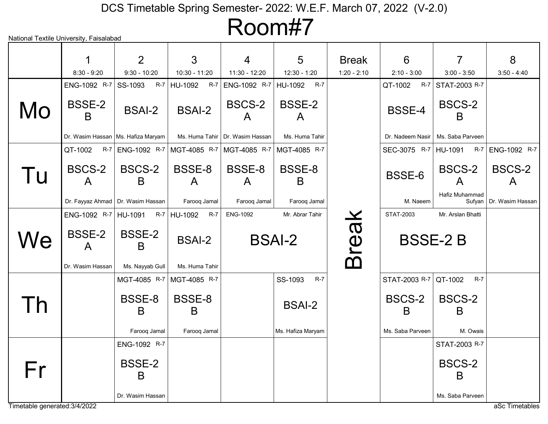Room#7

|                               |                               | 2                                                               | 3                | 4                                 | 5                               | <b>Break</b>  | 6                       | 7                        | 8                      |
|-------------------------------|-------------------------------|-----------------------------------------------------------------|------------------|-----------------------------------|---------------------------------|---------------|-------------------------|--------------------------|------------------------|
|                               | $8:30 - 9:20$                 | $9:30 - 10:20$                                                  | 10:30 - 11:20    | 11:30 - 12:20                     | 12:30 - 1:20                    | $1:20 - 2:10$ | $2:10 - 3:00$           | $3:00 - 3:50$            | $3:50 - 4:40$          |
|                               | ENG-1092 R-7                  | $R-7$<br>SS-1093                                                | $R-7$<br>HU-1092 | ENG-1092 R-7                      | $R-7$<br>HU-1092                |               | $R-7$<br>QT-1002        | STAT-2003 R-7            |                        |
| Mo                            | <b>BSSE-2</b><br>B            | <b>BSAI-2</b>                                                   | <b>BSAI-2</b>    | BSCS-2<br>$\bigwedge$             | <b>BSSE-2</b><br>$\overline{A}$ |               | <b>BSSE-4</b>           | BSCS-2<br>B              |                        |
|                               |                               | Dr. Wasim Hassan   Ms. Hafiza Maryam                            |                  | Ms. Huma Tahir   Dr. Wasim Hassan | Ms. Huma Tahir                  |               | Dr. Nadeem Nasir        | Ms. Saba Parveen         |                        |
|                               | QT-1002                       | R-7   ENG-1092 R-7   MGT-4085 R-7   MGT-4085 R-7   MGT-4085 R-7 |                  |                                   |                                 |               | SEC-3075 R-7 HU-1091    | $R-7$                    | ENG-1092 R-7           |
| Tu                            | BSCS-2<br>A                   | BSCS-2<br>B                                                     | BSSE-8<br>A      | BSSE-8<br>$\mathsf{A}$            | BSSE-8<br>B                     |               | <b>BSSE-6</b>           | BSCS-2<br>$\mathsf{A}$   | BSCS-2<br>$\mathsf{A}$ |
|                               |                               | Dr. Fayyaz Ahmad   Dr. Wasim Hassan                             | Farooq Jamal     | Farooq Jamal                      | Farooq Jamal                    |               | M. Naeem                | Hafiz Muhammad<br>Sufyan | Dr. Wasim Hassan       |
|                               | ENG-1092 R-7 HU-1091          | <b>R-7</b>                                                      | HU-1092<br>R-7   | <b>ENG-1092</b>                   | Mr. Abrar Tahir                 | <b>Break</b>  | STAT-2003               | Mr. Arslan Bhatti        |                        |
| We                            | <b>BSSE-2</b><br>$\mathsf{A}$ | <b>BSSE-2</b><br>B                                              | <b>BSAI-2</b>    |                                   | <b>BSAI-2</b>                   |               |                         | <b>BSSE-2B</b>           |                        |
|                               | Dr. Wasim Hassan              | Ms. Nayyab Gull                                                 | Ms. Huma Tahir   |                                   |                                 |               |                         |                          |                        |
|                               |                               | MGT-4085 R-7                                                    | MGT-4085 R-7     |                                   | $R-7$<br>SS-1093                |               | STAT-2003 R-7   QT-1002 | $R-7$                    |                        |
|                               |                               | BSSE-8<br>B                                                     | BSSE-8<br>B      |                                   | <b>BSAI-2</b>                   |               | BSCS-2<br>B             | BSCS-2<br>B              |                        |
|                               |                               | Farooq Jamal                                                    | Farooq Jamal     |                                   | Ms. Hafiza Maryam               |               | Ms. Saba Parveen        | M. Owais                 |                        |
|                               |                               | ENG-1092 R-7                                                    |                  |                                   |                                 |               |                         | STAT-2003 R-7            |                        |
| Fr                            |                               | <b>BSSE-2</b><br>B                                              |                  |                                   |                                 |               |                         | <b>BSCS-2</b><br>B       |                        |
|                               |                               | Dr. Wasim Hassan                                                |                  |                                   |                                 |               |                         | Ms. Saba Parveen         |                        |
| Timetable generated: 3/4/2022 |                               |                                                                 |                  |                                   |                                 |               |                         |                          | aSc Timetables         |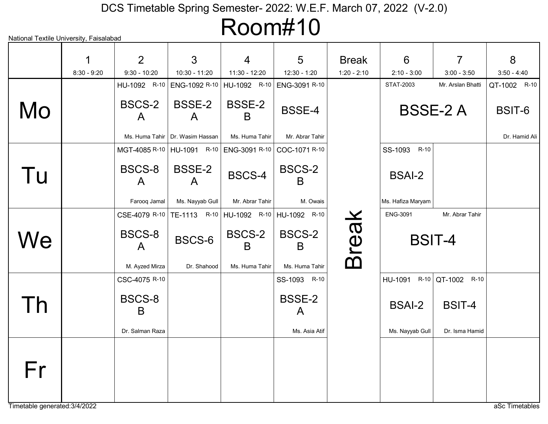# Room#10

| National Textile University, Faisalabad |               |                                         |                                   |                               | \\\!\!\!\!\\\                                                |               |                   |                     |               |
|-----------------------------------------|---------------|-----------------------------------------|-----------------------------------|-------------------------------|--------------------------------------------------------------|---------------|-------------------|---------------------|---------------|
|                                         |               | 2                                       | 3                                 | 4                             | 5                                                            | <b>Break</b>  | $6\phantom{1}6$   | $\overline{7}$      | 8             |
|                                         | $8:30 - 9:20$ | $9:30 - 10:20$                          | 10:30 - 11:20                     | 11:30 - 12:20                 | 12:30 - 1:20                                                 | $1:20 - 2:10$ | $2:10 - 3:00$     | $3:00 - 3:50$       | $3:50 - 4:40$ |
|                                         |               | HU-1092 R-10                            | ENG-1092 R-10                     | HU-1092 R-10                  | ENG-3091 R-10                                                |               | STAT-2003         | Mr. Arslan Bhatti   | QT-1002 R-10  |
| Mo                                      |               | BSCS-2<br>$\mathsf{A}$                  | <b>BSSE-2</b><br>$\mathsf{A}$     | <b>BSSE-2</b><br>B            | <b>BSSE-4</b>                                                |               |                   | <b>BSSE-2 A</b>     | BSIT-6        |
|                                         |               |                                         | Ms. Huma Tahir   Dr. Wasim Hassan | Ms. Huma Tahir                | Mr. Abrar Tahir                                              |               |                   |                     | Dr. Hamid Ali |
|                                         |               |                                         |                                   |                               | MGT-4085 R-10   HU-1091 R-10   ENG-3091 R-10   COC-1071 R-10 |               | SS-1093 R-10      |                     |               |
| Tu                                      |               | BSCS-8<br>$\mathsf{A}$                  | <b>BSSE-2</b><br>$\mathsf{A}$     | BSCS-4                        | BSCS-2<br>B                                                  |               | <b>BSAI-2</b>     |                     |               |
|                                         |               | Farooq Jamal                            | Ms. Nayyab Gull                   | Mr. Abrar Tahir               | M. Owais                                                     |               | Ms. Hafiza Maryam |                     |               |
|                                         |               | CSE-4079 R-10                           |                                   |                               | TE-1113 R-10 HU-1092 R-10 HU-1092 R-10                       |               | <b>ENG-3091</b>   | Mr. Abrar Tahir     |               |
| We                                      |               | BSCS-8<br>$\bigwedge$<br>M. Ayzed Mirza | BSCS-6<br>Dr. Shahood             | BSCS-2<br>B<br>Ms. Huma Tahir | BSCS-2<br>B<br>Ms. Huma Tahir                                | <b>Break</b>  |                   | <b>BSIT-4</b>       |               |
|                                         |               |                                         |                                   |                               |                                                              |               |                   |                     |               |
|                                         |               | CSC-4075 R-10                           |                                   |                               | SS-1093 R-10                                                 |               | HU-1091           | $R-10$ QT-1002 R-10 |               |
| Th                                      |               | BSCS-8<br>B                             |                                   |                               | <b>BSSE-2</b><br>A                                           |               | <b>BSAI-2</b>     | BSIT-4              |               |
|                                         |               | Dr. Salman Raza                         |                                   |                               | Ms. Asia Atif                                                |               | Ms. Nayyab Gull   | Dr. Isma Hamid      |               |
| Fr                                      |               |                                         |                                   |                               |                                                              |               |                   |                     |               |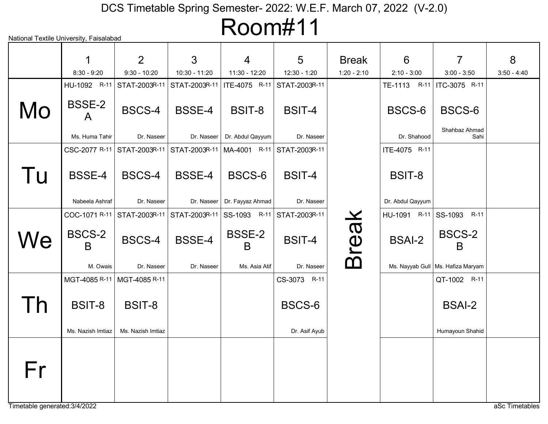Room#11

|    |                    | 2                 | 3                                            | $\overline{4}$     | 5             | <b>Break</b>  | 6                | $\overline{7}$                    | 8             |
|----|--------------------|-------------------|----------------------------------------------|--------------------|---------------|---------------|------------------|-----------------------------------|---------------|
|    | $8:30 - 9:20$      | $9:30 - 10:20$    | 10:30 - 11:20                                | 11:30 - 12:20      | 12:30 - 1:20  | $1:20 - 2:10$ | $2:10 - 3:00$    | $3:00 - 3:50$                     | $3:50 - 4:40$ |
|    | HU-1092 R-11       | STAT-2003R-11     | STAT-2003R-11                                | ITE-4075 R-11      | STAT-2003R-11 |               | TE-1113 R-11     | ITC-3075 R-11                     |               |
| Mo | <b>BSSE-2</b><br>A | <b>BSCS-4</b>     | <b>BSSE-4</b>                                | BSIT-8             | <b>BSIT-4</b> |               | BSCS-6           | BSCS-6<br>Shahbaz Ahmad           |               |
|    | Ms. Huma Tahir     | Dr. Naseer        | Dr. Naseer                                   | Dr. Abdul Qayyum   | Dr. Naseer    |               | Dr. Shahood      | Sahi                              |               |
|    | CSC-2077 R-11      | STAT-2003R-11     | STAT-2003R-11   MA-4001 R-11   STAT-2003R-11 |                    |               |               | ITE-4075 R-11    |                                   |               |
| Tu | <b>BSSE-4</b>      | BSCS-4            | <b>BSSE-4</b>                                | BSCS-6             | <b>BSIT-4</b> |               | BSIT-8           |                                   |               |
|    | Nabeela Ashraf     | Dr. Naseer        | Dr. Naseer                                   | Dr. Fayyaz Ahmad   | Dr. Naseer    |               | Dr. Abdul Qayyum |                                   |               |
|    | COC-1071 R-11      | STAT-2003R-11     | STAT-2003R-11                                | SS-1093 R-11       | STAT-2003R-11 |               | $HU-1091$ R-11   | SS-1093<br>$R-11$                 |               |
| We | BSCS-2<br>B        | BSCS-4            | <b>BSSE-4</b>                                | <b>BSSE-2</b><br>B | <b>BSIT-4</b> | <b>Break</b>  | <b>BSAI-2</b>    | BSCS-2<br>B                       |               |
|    | M. Owais           | Dr. Naseer        | Dr. Naseer                                   | Ms. Asia Atif      | Dr. Naseer    |               |                  | Ms. Nayyab Gull Ms. Hafiza Maryam |               |
|    | MGT-4085 R-11      | MGT-4085 R-11     |                                              |                    | CS-3073 R-11  |               |                  | QT-1002 R-11                      |               |
| Th | <b>BSIT-8</b>      | <b>BSIT-8</b>     |                                              |                    | BSCS-6        |               |                  | <b>BSAI-2</b>                     |               |
|    | Ms. Nazish Imtiaz  | Ms. Nazish Imtiaz |                                              |                    | Dr. Asif Ayub |               |                  | Humayoun Shahid                   |               |
| Fr |                    |                   |                                              |                    |               |               |                  |                                   |               |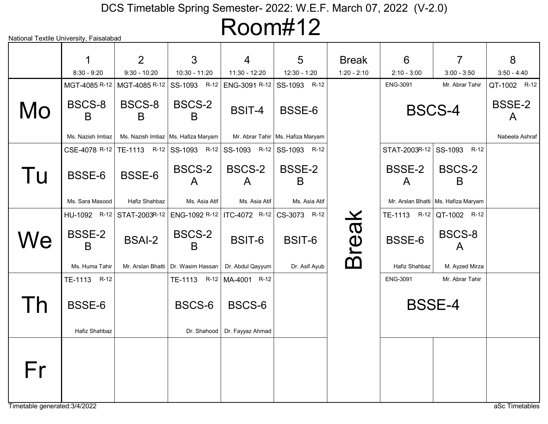# Room#12

|                          | 1                       | 2                            | 3                                                                         | 4                                            | 5                                   | <b>Break</b>  | 6                         | $\overline{7}$                        | 8                             |
|--------------------------|-------------------------|------------------------------|---------------------------------------------------------------------------|----------------------------------------------|-------------------------------------|---------------|---------------------------|---------------------------------------|-------------------------------|
|                          | $8:30 - 9:20$           | $9:30 - 10:20$               | 10:30 - 11:20                                                             | 11:30 - 12:20                                | 12:30 - 1:20                        | $1:20 - 2:10$ | $2:10 - 3:00$             | $3:00 - 3:50$                         | $3:50 - 4:40$                 |
|                          | MGT-4085 R-12           | MGT-4085 R-12                | SS-1093 R-12                                                              | ENG-3091 R-12 SS-1093                        | $R-12$                              |               | ENG-3091                  | Mr. Abrar Tahir                       | QT-1002 R-12                  |
| Mo                       | BSCS-8<br>B             | BSCS-8<br>B                  | BSCS-2<br>B.                                                              | <b>BSIT-4</b>                                | BSSE-6                              |               | <b>BSCS-4</b>             |                                       | <b>BSSE-2</b><br>$\mathsf{A}$ |
|                          | Ms. Nazish Imtiaz       |                              | Ms. Nazish Imtiaz   Ms. Hafiza Maryam                                     |                                              | Mr. Abrar Tahir   Ms. Hafiza Maryam |               |                           |                                       | Nabeela Ashraf                |
|                          |                         |                              | CSE-4078 R-12   TE-1113 R-12   SS-1093 R-12   SS-1093 R-12   SS-1093 R-12 |                                              |                                     |               | STAT-2003R-12 SS-1093     | $R-12$                                |                               |
| Tu                       | BSSE-6                  | BSSE-6                       | BSCS-2<br>A                                                               | BSCS-2<br>A                                  | <b>BSSE-2</b><br>B                  |               | BSSE-2<br>A               | <b>BSCS-2</b><br>B                    |                               |
|                          | Ms. Sara Masood         | Hafiz Shahbaz                | Ms. Asia Atif                                                             | Ms. Asia Atif                                | Ms. Asia Atif                       |               |                           | Mr. Arslan Bhatti   Ms. Hafiza Maryam |                               |
|                          |                         | HU-1092 R-12   STAT-2003R-12 |                                                                           | ENG-1092 R-12   ITC-4072 R-12   CS-3073 R-12 |                                     |               | TE-1113 R-12 QT-1002 R-12 |                                       |                               |
| We                       | <b>BSSE-2</b><br>B      | <b>BSAI-2</b>                | BSCS-2<br>B                                                               | BSIT-6                                       | BSIT-6                              | <b>Break</b>  | BSSE-6                    | BSCS-8<br>A                           |                               |
|                          | Ms. Huma Tahir          |                              | Mr. Arslan Bhatti   Dr. Wasim Hassan                                      | Dr. Abdul Qayyum                             | Dr. Asif Ayub                       |               | Hafiz Shahbaz             | M. Ayzed Mirza                        |                               |
|                          | TE-1113 R-12            |                              | TE-1113 R-12 MA-4001 R-12                                                 |                                              |                                     |               | <b>ENG-3091</b>           | Mr. Abrar Tahir                       |                               |
| $\overline{\phantom{a}}$ | BSSE-6<br>Hafiz Shahbaz |                              | BSCS-6<br>Dr. Shahood                                                     | BSCS-6<br>Dr. Fayyaz Ahmad                   |                                     |               | <b>BSSE-4</b>             |                                       |                               |
|                          |                         |                              |                                                                           |                                              |                                     |               |                           |                                       |                               |
| Fr                       |                         |                              |                                                                           |                                              |                                     |               |                           |                                       |                               |